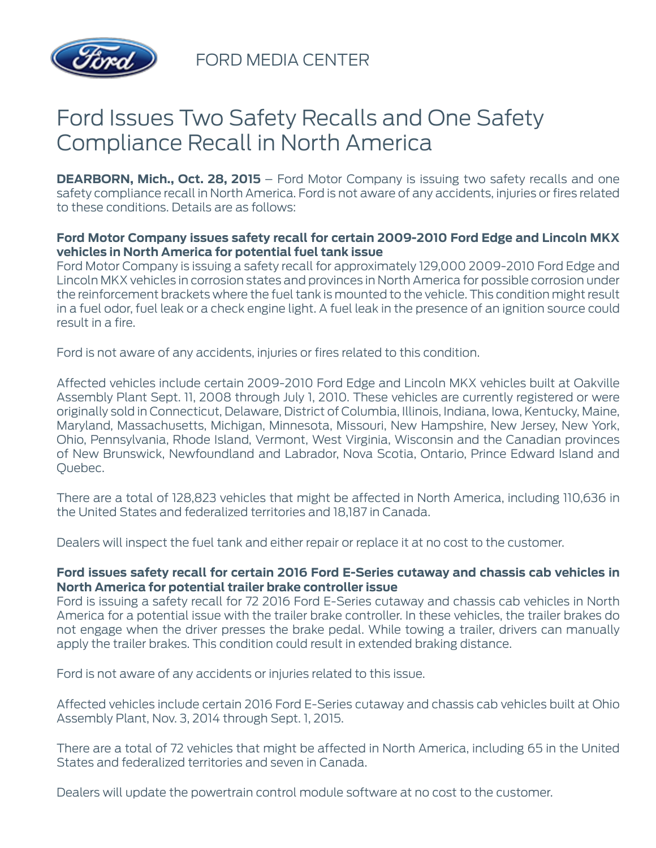

FORD MEDIA CENTER

## Ford Issues Two Safety Recalls and One Safety Compliance Recall in North America

**DEARBORN, Mich., Oct. 28, 2015** – Ford Motor Company is issuing two safety recalls and one safety compliance recall in North America. Ford is not aware of any accidents, injuries or fires related to these conditions. Details are as follows:

## **Ford Motor Company issues safety recall for certain 2009-2010 Ford Edge and Lincoln MKX vehicles in North America for potential fuel tank issue**

Ford Motor Company is issuing a safety recall for approximately 129,000 2009-2010 Ford Edge and Lincoln MKX vehicles in corrosion states and provinces in North America for possible corrosion under the reinforcement brackets where the fuel tank is mounted to the vehicle. This condition might result in a fuel odor, fuel leak or a check engine light. A fuel leak in the presence of an ignition source could result in a fire.

Ford is not aware of any accidents, injuries or fires related to this condition.

Affected vehicles include certain 2009-2010 Ford Edge and Lincoln MKX vehicles built at Oakville Assembly Plant Sept. 11, 2008 through July 1, 2010. These vehicles are currently registered or were originally sold in Connecticut, Delaware, District of Columbia, Illinois, Indiana, Iowa, Kentucky, Maine, Maryland, Massachusetts, Michigan, Minnesota, Missouri, New Hampshire, New Jersey, New York, Ohio, Pennsylvania, Rhode Island, Vermont, West Virginia, Wisconsin and the Canadian provinces of New Brunswick, Newfoundland and Labrador, Nova Scotia, Ontario, Prince Edward Island and Quebec.

There are a total of 128,823 vehicles that might be affected in North America, including 110,636 in the United States and federalized territories and 18,187 in Canada.

Dealers will inspect the fuel tank and either repair or replace it at no cost to the customer.

## **Ford issues safety recall for certain 2016 Ford E-Series cutaway and chassis cab vehicles in North America for potential trailer brake controller issue**

Ford is issuing a safety recall for 72 2016 Ford E-Series cutaway and chassis cab vehicles in North America for a potential issue with the trailer brake controller. In these vehicles, the trailer brakes do not engage when the driver presses the brake pedal. While towing a trailer, drivers can manually apply the trailer brakes. This condition could result in extended braking distance.

Ford is not aware of any accidents or injuries related to this issue.

Affected vehicles include certain 2016 Ford E-Series cutaway and chassis cab vehicles built at Ohio Assembly Plant, Nov. 3, 2014 through Sept. 1, 2015.

There are a total of 72 vehicles that might be affected in North America, including 65 in the United States and federalized territories and seven in Canada.

Dealers will update the powertrain control module software at no cost to the customer.